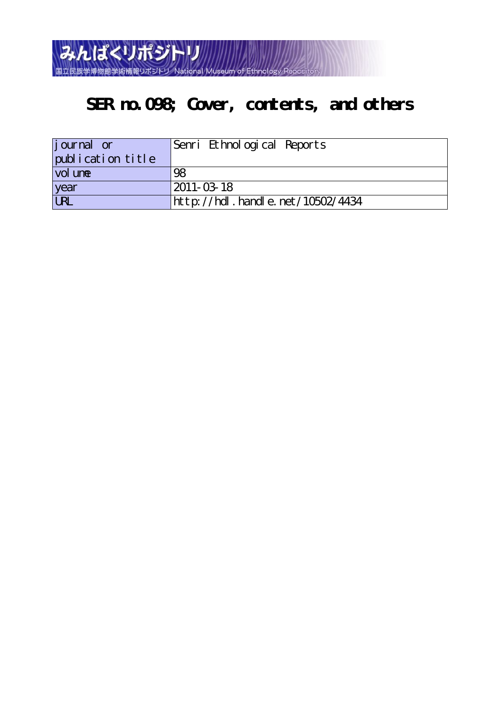

## **SER no.098; Cover, contents, and others**

| journal or        | Senri Ethnological Reports            |
|-------------------|---------------------------------------|
| publication title |                                       |
| vol une           | 98                                    |
| year              | $2011 - 03 - 18$                      |
| URL               | ht t p://hdl. handl e. net/10502/4434 |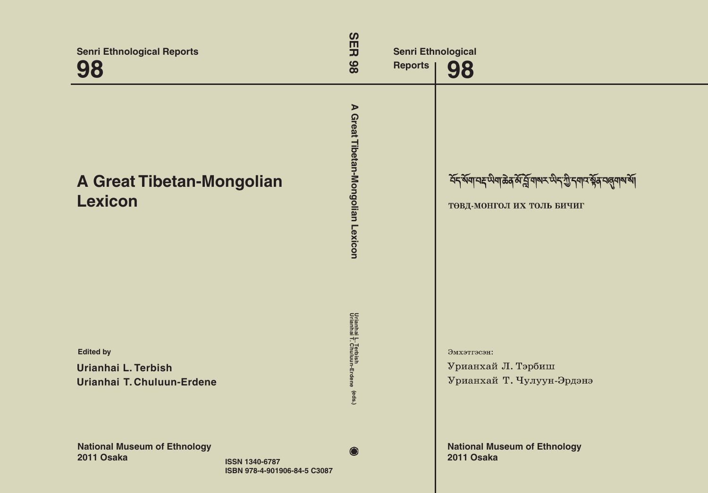| <b>Senri Ethnological Reports</b><br>98                                    | $rac{1}{25}$<br>工<br>86                                     | <b>Senri Ethnological</b><br><b>Reports</b><br>98                                      |
|----------------------------------------------------------------------------|-------------------------------------------------------------|----------------------------------------------------------------------------------------|
| <b>A Great Tibetan-Mongolian</b><br><b>Lexicon</b>                         | $\blacktriangleright$<br>Great Tibetan-Mongolian Lexicon    | ঽঽৼয়ঀড়ৼড়ড়ড়ড়ড়ড়ড়৸ড়ৼড়৸ড়ড়ড়৸ড়ড়৸ড়৸ড়৸ৼঀৼঀঀ৸ৼঀৗ<br>төвд-монгол их толь бичиг |
| <b>Edited by</b><br>Urianhai L. Terbish<br>Urianhai T. Chuluun-Erdene      | Urianhai L. Terbish<br>Urianhai T. Chuluun-Erdene<br>(eds.) | Эмхэтгэсэн:<br>Урианхай Л. Тэрбиш<br>Урианхай Т. Чулуун-Эрдэнэ                         |
| <b>National Museum of Ethnology</b><br>2011 Osaka<br><b>ISSN 1340-6787</b> | $\bigcirc$                                                  | <b>National Museum of Ethnology</b><br>2011 Osaka                                      |

**ISBN 978-4-901906-84-5 C3087**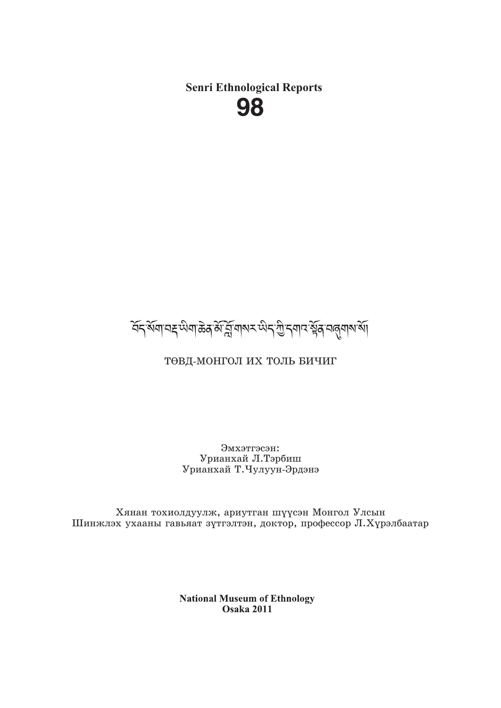**Senri Ethnological Reports** 98



төвд-монгол их толь вичиг

Эмхэтгэсэн: Урианхай Л.Тэрбиш Урианхай Т.Чулуун-Эрдэнэ

Хянан тохиолдуулж, ариутган шүүсэн Монгол Улсын Шинжлэх ухааны гавьяат зүтгэлтэн, доктор, профессор Л.Хүрэлбаатар

> **National Museum of Ethnology Osaka 2011**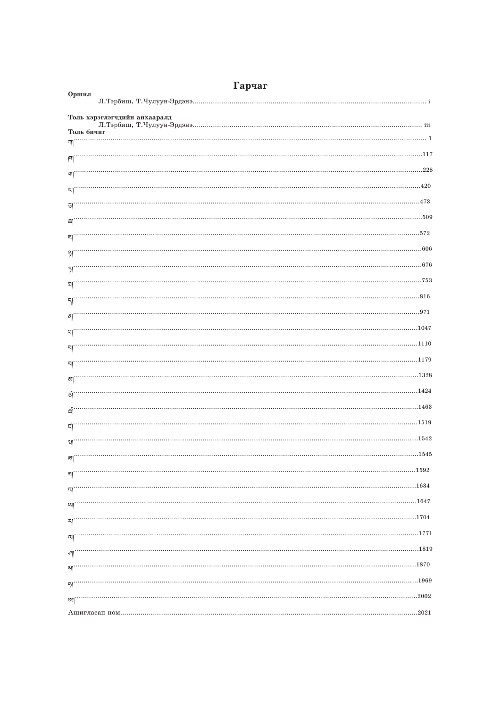| Гарчаг                                  |        |  |  |
|-----------------------------------------|--------|--|--|
| Оршил                                   | i      |  |  |
| Толь хэрэглэгчдийн анхааралд            |        |  |  |
| Л.Тэрбиш, Т.Чулуун-Эрдэнэ<br>Толь бичиг | iii    |  |  |
|                                         | 1      |  |  |
| [4]                                     | . 117  |  |  |
| শা                                      | . 228  |  |  |
| 57                                      | . 420  |  |  |
| তা                                      | 473    |  |  |
| ळ                                       | 509    |  |  |
| 티                                       | . 572  |  |  |
| $\frac{3}{2}$                           | 606    |  |  |
| 51                                      | . 676  |  |  |
| 퇘                                       | . 753  |  |  |
| 51                                      | 816    |  |  |
| 헤                                       | . 971  |  |  |
| 재                                       | . 1047 |  |  |
|                                         | . 1110 |  |  |
| 제                                       | 1179   |  |  |
| ᆌ                                       | 1328   |  |  |
| 헤                                       | . 1424 |  |  |
| उं।                                     | 1463   |  |  |
| ळा                                      |        |  |  |
| ΕĴ                                      | 1519   |  |  |
| 레                                       | . 1542 |  |  |
| ଵୗ                                      | . 1545 |  |  |
| 킈                                       | . 1592 |  |  |
| ন                                       | . 1634 |  |  |
| 떼                                       | 1647   |  |  |
| 지                                       |        |  |  |
| 데                                       |        |  |  |
| '해                                      |        |  |  |
|                                         |        |  |  |
| ๆ"                                      |        |  |  |
| ডা।                                     |        |  |  |
|                                         |        |  |  |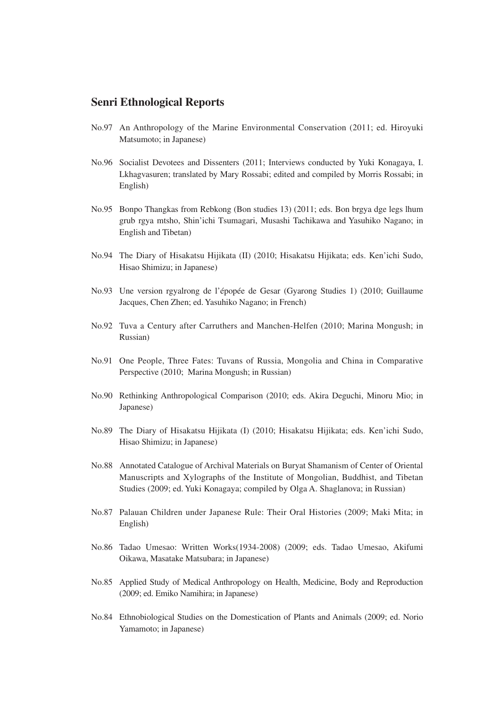## **Senri Ethnological Reports**

- No.97 An Anthropology of the Marine Environmental Conservation (2011; ed. Hiroyuki Matsumoto; in Japanese)
- No.96 Socialist Devotees and Dissenters (2011; Interviews conducted by Yuki Konagaya, I. Lkhagvasuren; translated by Mary Rossabi; edited and compiled by Morris Rossabi; in English)
- No.95 Bonpo Thangkas from Rebkong (Bon studies 13) (2011; eds. Bon brgya dge legs lhum grub rgya mtsho, Shin'ichi Tsumagari, Musashi Tachikawa and Yasuhiko Nagano; in English and Tibetan)
- No.94 The Diary of Hisakatsu Hijikata (II) (2010; Hisakatsu Hijikata; eds. Ken'ichi Sudo, Hisao Shimizu; in Japanese)
- No.93 Une version rgyalrong de l'épopée de Gesar (Gyarong Studies 1) (2010; Guillaume Jacques, Chen Zhen; ed. Yasuhiko Nagano; in French)
- No.92 Tuva a Century after Carruthers and Manchen-Helfen (2010; Marina Mongush; in Russian)
- No.91 One People, Three Fates: Tuvans of Russia, Mongolia and China in Comparative Perspective (2010; Marina Mongush; in Russian)
- No.90 Rethinking Anthropological Comparison (2010; eds. Akira Deguchi, Minoru Mio; in Japanese)
- No.89 The Diary of Hisakatsu Hijikata (I) (2010; Hisakatsu Hijikata; eds. Ken'ichi Sudo, Hisao Shimizu; in Japanese)
- No.88 Annotated Catalogue of Archival Materials on Buryat Shamanism of Center of Oriental Manuscripts and Xylographs of the Institute of Mongolian, Buddhist, and Tibetan Studies (2009; ed. Yuki Konagaya; compiled by Olga A. Shaglanova; in Russian)
- No.87 Palauan Children under Japanese Rule: Their Oral Histories (2009; Maki Mita; in English)
- No.86 Tadao Umesao: Written Works(1934-2008) (2009; eds. Tadao Umesao, Akifumi Oikawa, Masatake Matsubara; in Japanese)
- No.85 Applied Study of Medical Anthropology on Health, Medicine, Body and Reproduction (2009; ed. Emiko Namihira; in Japanese)
- No.84 Ethnobiological Studies on the Domestication of Plants and Animals (2009; ed. Norio Yamamoto; in Japanese)